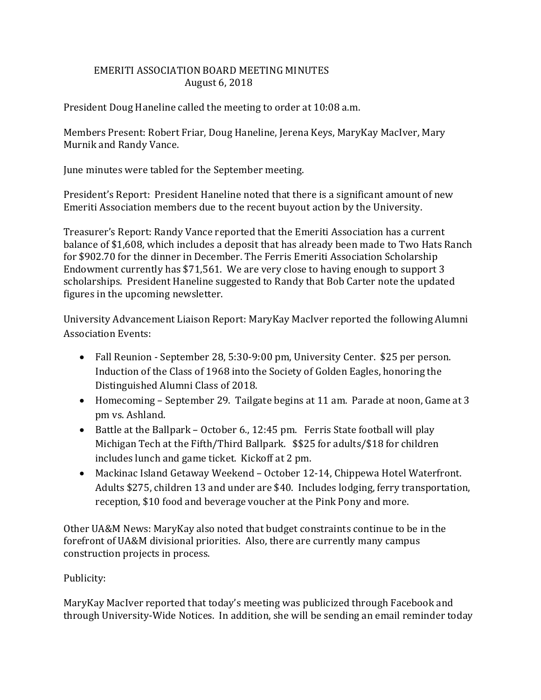## EMERITI ASSOCIATION BOARD MEETING MINUTES August 6, 2018

President Doug Haneline called the meeting to order at 10:08 a.m.

Members Present: Robert Friar, Doug Haneline, Jerena Keys, MaryKay MacIver, Mary Murnik and Randy Vance.

June minutes were tabled for the September meeting.

President's Report: President Haneline noted that there is a significant amount of new Emeriti Association members due to the recent buyout action by the University.

Treasurer's Report: Randy Vance reported that the Emeriti Association has a current balance of \$1,608, which includes a deposit that has already been made to Two Hats Ranch for \$902.70 for the dinner in December. The Ferris Emeriti Association Scholarship Endowment currently has \$71,561. We are very close to having enough to support 3 scholarships. President Haneline suggested to Randy that Bob Carter note the updated figures in the upcoming newsletter.

University Advancement Liaison Report: MaryKay MacIver reported the following Alumni Association Events:

- Fall Reunion September 28, 5:30-9:00 pm, University Center. \$25 per person. Induction of the Class of 1968 into the Society of Golden Eagles, honoring the Distinguished Alumni Class of 2018.
- Homecoming September 29. Tailgate begins at 11 am. Parade at noon, Game at 3 pm vs. Ashland.
- Battle at the Ballpark October 6., 12:45 pm. Ferris State football will play Michigan Tech at the Fifth/Third Ballpark. \$\$25 for adults/\$18 for children includes lunch and game ticket. Kickoff at 2 pm.
- Mackinac Island Getaway Weekend October 12-14, Chippewa Hotel Waterfront. Adults \$275, children 13 and under are \$40. Includes lodging, ferry transportation, reception, \$10 food and beverage voucher at the Pink Pony and more.

Other UA&M News: MaryKay also noted that budget constraints continue to be in the forefront of UA&M divisional priorities. Also, there are currently many campus construction projects in process.

## Publicity:

MaryKay MacIver reported that today's meeting was publicized through Facebook and through University-Wide Notices. In addition, she will be sending an email reminder today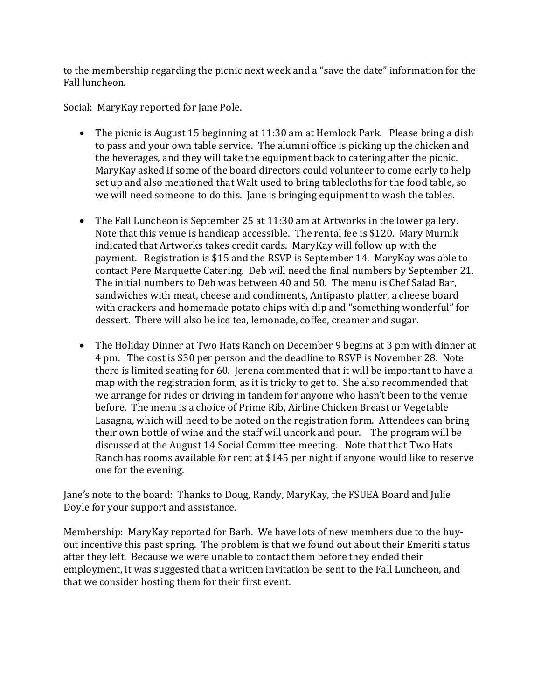to the membership regarding the picnic next week and a "save the date" information for the Fall luncheon.

Social: MaryKay reported for Jane Pole.

- The picnic is August 15 beginning at 11:30 am at Hemlock Park. Please bring a dish to pass and your own table service. The alumni office is picking up the chicken and the beverages, and they will take the equipment back to catering after the picnic. MaryKay asked if some of the board directors could volunteer to come early to help set up and also mentioned that Walt used to bring tablecloths for the food table, so we will need someone to do this. Jane is bringing equipment to wash the tables.
- The Fall Luncheon is September 25 at 11:30 am at Artworks in the lower gallery. Note that this venue is handicap accessible. The rental fee is \$120. Mary Murnik indicated that Artworks takes credit cards. MaryKay will follow up with the payment. Registration is \$15 and the RSVP is September 14. MaryKay was able to contact Pere Marquette Catering. Deb will need the final numbers by September 21. The initial numbers to Deb was between 40 and 50. The menu is Chef Salad Bar, sandwiches with meat, cheese and condiments, Antipasto platter, a cheese board with crackers and homemade potato chips with dip and "something wonderful" for dessert. There will also be ice tea, lemonade, coffee, creamer and sugar.
- The Holiday Dinner at Two Hats Ranch on December 9 begins at 3 pm with dinner at 4 pm. The cost is \$30 per person and the deadline to RSVP is November 28. Note there is limited seating for 60. Jerena commented that it will be important to have a map with the registration form, as it is tricky to get to. She also recommended that we arrange for rides or driving in tandem for anyone who hasn't been to the venue before. The menu is a choice of Prime Rib, Airline Chicken Breast or Vegetable Lasagna, which will need to be noted on the registration form. Attendees can bring their own bottle of wine and the staff will uncork and pour. The program will be discussed at the August 14 Social Committee meeting. Note that that Two Hats Ranch has rooms available for rent at \$145 per night if anyone would like to reserve one for the evening.

Jane's note to the board: Thanks to Doug, Randy, MaryKay, the FSUEA Board and Julie Doyle for your support and assistance.

Membership: MaryKay reported for Barb. We have lots of new members due to the buyout incentive this past spring. The problem is that we found out about their Emeriti status after they left. Because we were unable to contact them before they ended their employment, it was suggested that a written invitation be sent to the Fall Luncheon, and that we consider hosting them for their first event.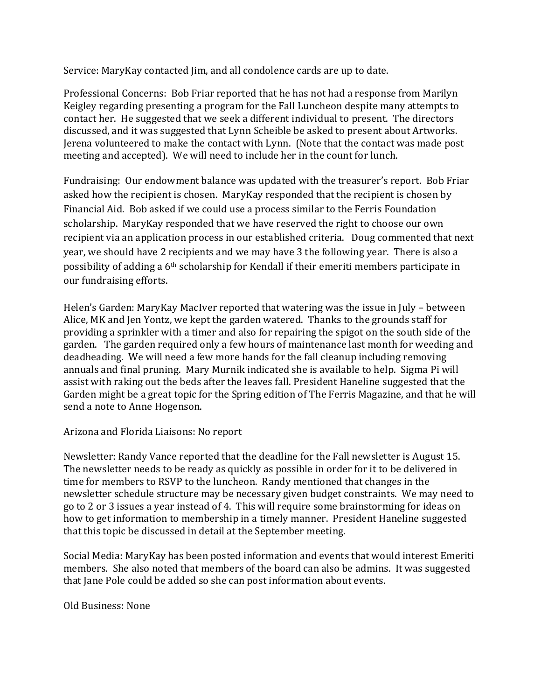Service: MaryKay contacted Jim, and all condolence cards are up to date.

Professional Concerns: Bob Friar reported that he has not had a response from Marilyn Keigley regarding presenting a program for the Fall Luncheon despite many attempts to contact her. He suggested that we seek a different individual to present. The directors discussed, and it was suggested that Lynn Scheible be asked to present about Artworks. Jerena volunteered to make the contact with Lynn. (Note that the contact was made post meeting and accepted). We will need to include her in the count for lunch.

Fundraising: Our endowment balance was updated with the treasurer's report. Bob Friar asked how the recipient is chosen. MaryKay responded that the recipient is chosen by Financial Aid. Bob asked if we could use a process similar to the Ferris Foundation scholarship. MaryKay responded that we have reserved the right to choose our own recipient via an application process in our established criteria. Doug commented that next year, we should have 2 recipients and we may have 3 the following year. There is also a possibility of adding a 6th scholarship for Kendall if their emeriti members participate in our fundraising efforts.

Helen's Garden: MaryKay MacIver reported that watering was the issue in July – between Alice, MK and Jen Yontz, we kept the garden watered. Thanks to the grounds staff for providing a sprinkler with a timer and also for repairing the spigot on the south side of the garden. The garden required only a few hours of maintenance last month for weeding and deadheading. We will need a few more hands for the fall cleanup including removing annuals and final pruning. Mary Murnik indicated she is available to help. Sigma Pi will assist with raking out the beds after the leaves fall. President Haneline suggested that the Garden might be a great topic for the Spring edition of The Ferris Magazine, and that he will send a note to Anne Hogenson.

Arizona and Florida Liaisons: No report

Newsletter: Randy Vance reported that the deadline for the Fall newsletter is August 15. The newsletter needs to be ready as quickly as possible in order for it to be delivered in time for members to RSVP to the luncheon. Randy mentioned that changes in the newsletter schedule structure may be necessary given budget constraints. We may need to go to 2 or 3 issues a year instead of 4. This will require some brainstorming for ideas on how to get information to membership in a timely manner. President Haneline suggested that this topic be discussed in detail at the September meeting.

Social Media: MaryKay has been posted information and events that would interest Emeriti members. She also noted that members of the board can also be admins. It was suggested that Jane Pole could be added so she can post information about events.

Old Business: None